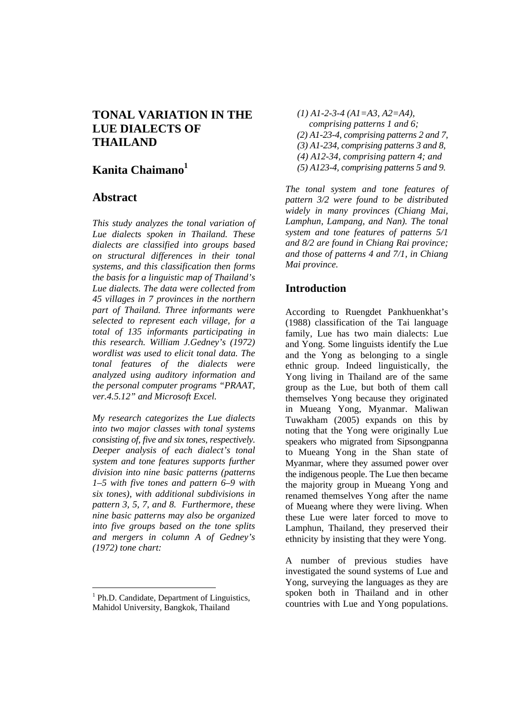# **TONAL VARIATION IN THE LUE DIALECTS OF THAILAND**

# **Kanita Chaimano1**

# **Abstract**

*This study analyzes the tonal variation of Lue dialects spoken in Thailand. These dialects are classified into groups based on structural differences in their tonal systems, and this classification then forms the basis for a linguistic map of Thailand's Lue dialects. The data were collected from 45 villages in 7 provinces in the northern part of Thailand. Three informants were selected to represent each village, for a total of 135 informants participating in this research. William J.Gedney's (1972) wordlist was used to elicit tonal data. The tonal features of the dialects were analyzed using auditory information and the personal computer programs "PRAAT, ver.4.5.12" and Microsoft Excel.* 

*My research categorizes the Lue dialects into two major classes with tonal systems consisting of, five and six tones, respectively. Deeper analysis of each dialect's tonal system and tone features supports further division into nine basic patterns (patterns 1–5 with five tones and pattern 6–9 with six tones), with additional subdivisions in pattern 3, 5, 7, and 8. Furthermore, these nine basic patterns may also be organized into five groups based on the tone splits and mergers in column A of Gedney's (1972) tone chart:* 

1

- *(1) A1-2-3-4 (A1=A3, A2=A4), comprising patterns 1 and 6; (2) A1-23-4, comprising patterns 2 and 7, (3) A1-234, comprising patterns 3 and 8, (4) A12-34, comprising pattern 4; and*
- *(5) A123-4, comprising patterns 5 and 9.*

*The tonal system and tone features of pattern 3/2 were found to be distributed widely in many provinces (Chiang Mai, Lamphun, Lampang, and Nan). The tonal system and tone features of patterns 5/1 and 8/2 are found in Chiang Rai province; and those of patterns 4 and 7/1, in Chiang Mai province.* 

# **Introduction**

According to Ruengdet Pankhuenkhat's (1988) classification of the Tai language family, Lue has two main dialects: Lue and Yong. Some linguists identify the Lue and the Yong as belonging to a single ethnic group. Indeed linguistically, the Yong living in Thailand are of the same group as the Lue, but both of them call themselves Yong because they originated in Mueang Yong, Myanmar. Maliwan Tuwakham (2005) expands on this by noting that the Yong were originally Lue speakers who migrated from Sipsongpanna to Mueang Yong in the Shan state of Myanmar, where they assumed power over the indigenous people. The Lue then became the majority group in Mueang Yong and renamed themselves Yong after the name of Mueang where they were living. When these Lue were later forced to move to Lamphun, Thailand, they preserved their ethnicity by insisting that they were Yong.

A number of previous studies have investigated the sound systems of Lue and Yong, surveying the languages as they are spoken both in Thailand and in other countries with Lue and Yong populations.

<sup>&</sup>lt;sup>1</sup> Ph.D. Candidate, Department of Linguistics, Mahidol University, Bangkok, Thailand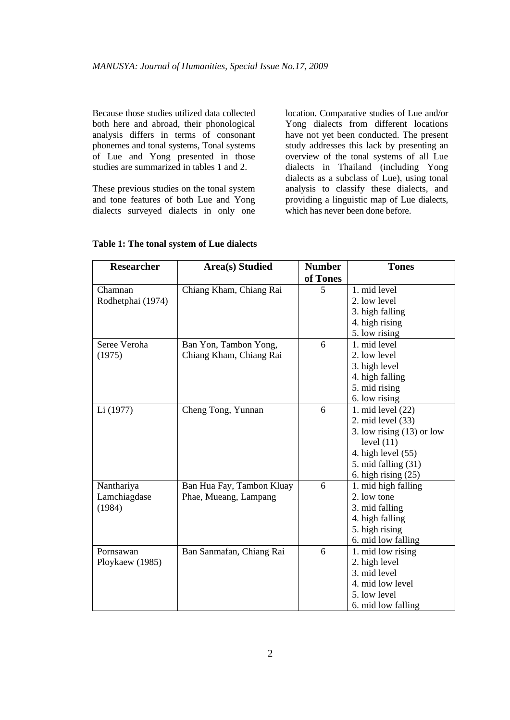Because those studies utilized data collected both here and abroad, their phonological analysis differs in terms of consonant phonemes and tonal systems, Tonal systems of Lue and Yong presented in those studies are summarized in tables 1 and 2.

These previous studies on the tonal system and tone features of both Lue and Yong dialects surveyed dialects in only one location. Comparative studies of Lue and/or Yong dialects from different locations have not yet been conducted. The present study addresses this lack by presenting an overview of the tonal systems of all Lue dialects in Thailand (including Yong dialects as a subclass of Lue), using tonal analysis to classify these dialects, and providing a linguistic map of Lue dialects, which has never been done before.

| <b>Researcher</b> | Area(s) Studied           | <b>Number</b> | <b>Tones</b>                |
|-------------------|---------------------------|---------------|-----------------------------|
|                   |                           | of Tones      |                             |
| Chamnan           | Chiang Kham, Chiang Rai   | 5             | 1. mid level                |
| Rodhetphai (1974) |                           |               | 2. low level                |
|                   |                           |               | 3. high falling             |
|                   |                           |               | 4. high rising              |
|                   |                           |               | 5. low rising               |
| Seree Veroha      | Ban Yon, Tambon Yong,     | 6             | 1. mid level                |
| (1975)            | Chiang Kham, Chiang Rai   |               | 2. low level                |
|                   |                           |               | 3. high level               |
|                   |                           |               | 4. high falling             |
|                   |                           |               | 5. mid rising               |
|                   |                           |               | 6. low rising               |
| Li (1977)         | Cheng Tong, Yunnan        | 6             | 1. mid level $(22)$         |
|                   |                           |               | 2. mid level (33)           |
|                   |                           |               | 3. low rising $(13)$ or low |
|                   |                           |               | level $(11)$                |
|                   |                           |               | 4. high level $(55)$        |
|                   |                           |               | 5. mid falling $(31)$       |
|                   |                           |               | 6. high rising $(25)$       |
| Nanthariya        | Ban Hua Fay, Tambon Kluay | 6             | 1. mid high falling         |
| Lamchiagdase      | Phae, Mueang, Lampang     |               | 2. low tone                 |
| (1984)            |                           |               | 3. mid falling              |
|                   |                           |               | 4. high falling             |
|                   |                           |               | 5. high rising              |
|                   |                           |               | 6. mid low falling          |
| Pornsawan         | Ban Sanmafan, Chiang Rai  | 6             | 1. mid low rising           |
| Ploykaew (1985)   |                           |               | 2. high level               |
|                   |                           |               | 3. mid level                |
|                   |                           |               | 4. mid low level            |
|                   |                           |               | 5. low level                |
|                   |                           |               | 6. mid low falling          |

## **Table 1: The tonal system of Lue dialects**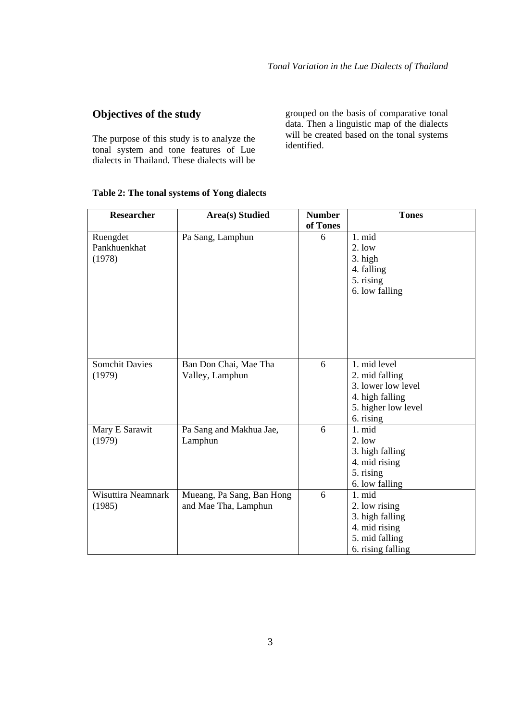# **Objectives of the study**

The purpose of this study is to analyze the tonal system and tone features of Lue dialects in Thailand. These dialects will be

grouped on the basis of comparative tonal data. Then a linguistic map of the dialects will be created based on the tonal systems identified.

| <b>Researcher</b>                  | <b>Area(s)</b> Studied                            | <b>Number</b><br>of Tones | <b>Tones</b>                                                                                                |
|------------------------------------|---------------------------------------------------|---------------------------|-------------------------------------------------------------------------------------------------------------|
| Ruengdet<br>Pankhuenkhat<br>(1978) | Pa Sang, Lamphun                                  | 6                         | $1. \text{mid}$<br>$2.1$ ow<br>3. high<br>4. falling<br>5. rising<br>6. low falling                         |
| <b>Somchit Davies</b><br>(1979)    | Ban Don Chai, Mae Tha<br>Valley, Lamphun          | 6                         | 1. mid level<br>2. mid falling<br>3. lower low level<br>4. high falling<br>5. higher low level<br>6. rising |
| Mary E Sarawit<br>(1979)           | Pa Sang and Makhua Jae,<br>Lamphun                | 6                         | $1.$ mid<br>$2.1$ ow<br>3. high falling<br>4. mid rising<br>5. rising<br>6. low falling                     |
| Wisuttira Neamnark<br>(1985)       | Mueang, Pa Sang, Ban Hong<br>and Mae Tha, Lamphun | 6                         | 1. mid<br>2. low rising<br>3. high falling<br>4. mid rising<br>5. mid falling<br>6. rising falling          |

# **Table 2: The tonal systems of Yong dialects**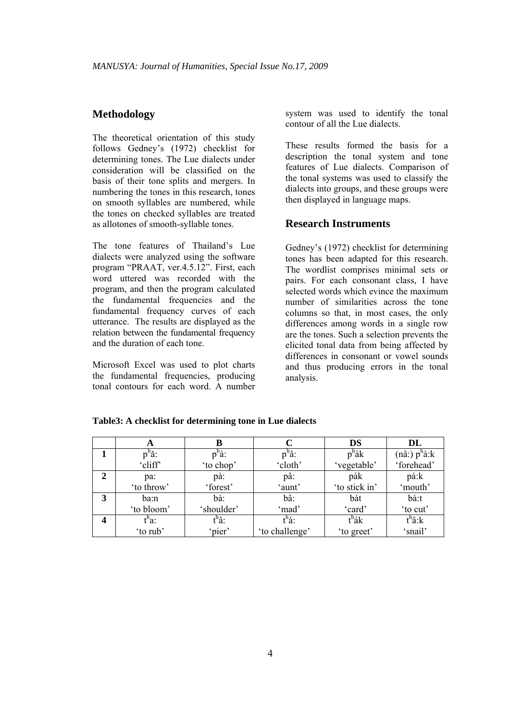## **Methodology**

The theoretical orientation of this study follows Gedney's (1972) checklist for determining tones. The Lue dialects under consideration will be classified on the basis of their tone splits and mergers. In numbering the tones in this research, tones on smooth syllables are numbered, while the tones on checked syllables are treated as allotones of smooth-syllable tones.

The tone features of Thailand's Lue dialects were analyzed using the software program "PRAAT, ver.4.5.12". First, each word uttered was recorded with the program, and then the program calculated the fundamental frequencies and the fundamental frequency curves of each utterance. The results are displayed as the relation between the fundamental frequency and the duration of each tone.

Microsoft Excel was used to plot charts the fundamental frequencies, producing tonal contours for each word. A number system was used to identify the tonal contour of all the Lue dialects.

These results formed the basis for a description the tonal system and tone features of Lue dialects. Comparison of the tonal systems was used to classify the dialects into groups, and these groups were then displayed in language maps.

# **Research Instruments**

Gedney's (1972) checklist for determining tones has been adapted for this research. The wordlist comprises minimal sets or pairs. For each consonant class, I have selected words which evince the maximum number of similarities across the tone columns so that, in most cases, the only differences among words in a single row are the tones. Such a selection prevents the elicited tonal data from being affected by differences in consonant or vowel sounds and thus producing errors in the tonal analysis.

## **Table3: A checklist for determining tone in Lue dialects**

|                | A          |                 |                | <b>DS</b>         | DL               |
|----------------|------------|-----------------|----------------|-------------------|------------------|
|                | $p^h$ ă:   | $pn\grave{a}$ : | $p^h\hat{a}$ : | $p^h$ àk          | (nâ:) p $^h$ à:k |
|                | 'cliff'    | 'to chop'       | 'cloth'        | 'vegetable'       | 'forehead'       |
| $\overline{2}$ | pa:        | pà:             | pâ:            | pàk               | pà:k             |
|                | 'to throw' | 'forest'        | 'aunt'         | 'to stick in'     | 'mouth'          |
| 3              | ba:n       | bà:             | bâ:            | bàt               | bà:t             |
|                | 'to bloom' | 'shoulder'      | 'mad'          | 'card'            | 'to cut'         |
| $\overline{4}$ | $tna$ :    | $t^h\hat{a}$ :  | $t^h$ á:       | t <sup>h</sup> ák | $t^h$ â: $k$     |
|                | 'to rub'   | 'pier'          | 'to challenge' | 'to greet'        | 'snail'          |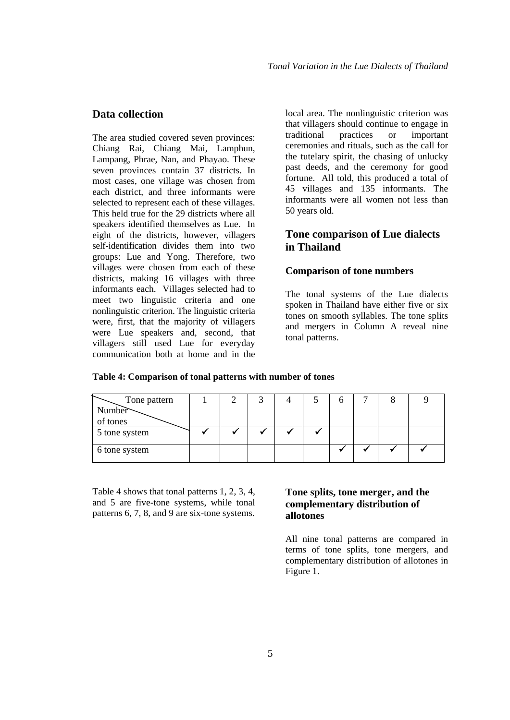# **Data collection**

The area studied covered seven provinces: Chiang Rai, Chiang Mai, Lamphun, Lampang, Phrae, Nan, and Phayao. These seven provinces contain 37 districts. In most cases, one village was chosen from each district, and three informants were selected to represent each of these villages. This held true for the 29 districts where all speakers identified themselves as Lue. In eight of the districts, however, villagers self-identification divides them into two groups: Lue and Yong. Therefore, two villages were chosen from each of these districts, making 16 villages with three informants each. Villages selected had to meet two linguistic criteria and one nonlinguistic criterion. The linguistic criteria were, first, that the majority of villagers were Lue speakers and, second, that villagers still used Lue for everyday communication both at home and in the local area. The nonlinguistic criterion was that villagers should continue to engage in traditional practices or important ceremonies and rituals, such as the call for the tutelary spirit, the chasing of unlucky past deeds, and the ceremony for good fortune. All told, this produced a total of 45 villages and 135 informants. The informants were all women not less than 50 years old.

# **Tone comparison of Lue dialects in Thailand**

## **Comparison of tone numbers**

The tonal systems of the Lue dialects spoken in Thailand have either five or six tones on smooth syllables. The tone splits and mergers in Column A reveal nine tonal patterns.

**Table 4: Comparison of tonal patterns with number of tones** 

| Tone pattern<br>Number<br>of tones |  |  |  |  |  |
|------------------------------------|--|--|--|--|--|
| 5 tone system                      |  |  |  |  |  |
| 6 tone system                      |  |  |  |  |  |

Table 4 shows that tonal patterns 1, 2, 3, 4, and 5 are five-tone systems, while tonal patterns 6, 7, 8, and 9 are six-tone systems.

# **Tone splits, tone merger, and the complementary distribution of allotones**

All nine tonal patterns are compared in terms of tone splits, tone mergers, and complementary distribution of allotones in Figure 1.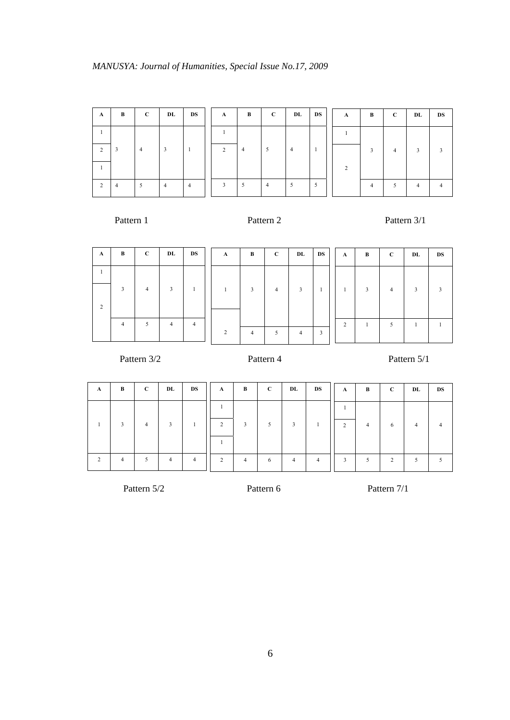| A | B              | $\mathbf{C}$   | DL             | DS             | A            | B              | $\mathbf{C}$   | DL             | DS | $\mathbf{A}$ | B | C | DL | DS |
|---|----------------|----------------|----------------|----------------|--------------|----------------|----------------|----------------|----|--------------|---|---|----|----|
|   |                |                |                |                |              |                |                |                |    |              |   |   |    |    |
| 2 | 3              | $\overline{4}$ | 3              | -1             | 2            | $\overline{4}$ | 5              | $\overline{4}$ |    |              | 3 | 4 | 3  |    |
|   |                |                |                |                |              |                |                |                |    | ↑            |   |   |    |    |
| 2 | $\overline{4}$ |                | $\overline{4}$ | $\overline{4}$ | $\mathbf{3}$ | 5              | $\overline{4}$ | 5              | 5  |              | 4 | 5 | 4  |    |

Pattern 1 Pattern 2 Pattern 2 Pattern 3/1

| A | В              | C              | DL | DS | $\mathbf{A}$   | в              | C              | DL             | DS | $\mathbf{A}$ | В | C | DL | DS |
|---|----------------|----------------|----|----|----------------|----------------|----------------|----------------|----|--------------|---|---|----|----|
|   |                |                |    |    |                |                |                |                |    |              |   |   |    |    |
|   | 3              | $\overline{4}$ | 3  |    |                | 3              | $\overline{4}$ | 3              |    |              | 3 | 4 | 3  |    |
| 2 |                |                |    |    |                |                |                |                |    |              |   |   |    |    |
|   | $\overline{4}$ | 5              | 4  | 4  |                |                |                |                |    | 2            | 1 | 5 |    |    |
|   |                |                |    |    | $\overline{2}$ | $\overline{4}$ | $\sim$         | $\overline{4}$ | 3  |              |   |   |    |    |

Pattern 3/2 Pattern 4 Pattern 5/1

| 3<br>3<br>3<br>5<br>3<br>$\overline{4}$<br>$\mathfrak{D}$<br>$\overline{4}$<br>6<br>$\overline{4}$<br>2<br>л.                                                                  |  |
|--------------------------------------------------------------------------------------------------------------------------------------------------------------------------------|--|
|                                                                                                                                                                                |  |
| $\mathcal{L}$<br>5<br>$\overline{4}$<br>$\overline{4}$<br>$\overline{4}$<br>3<br>2<br>$\overline{\phantom{0}}$<br>6<br>$\overline{4}$<br>2<br>$\overline{4}$<br>$\overline{4}$ |  |

Pattern 5/2 Pattern 6 Pattern 7/1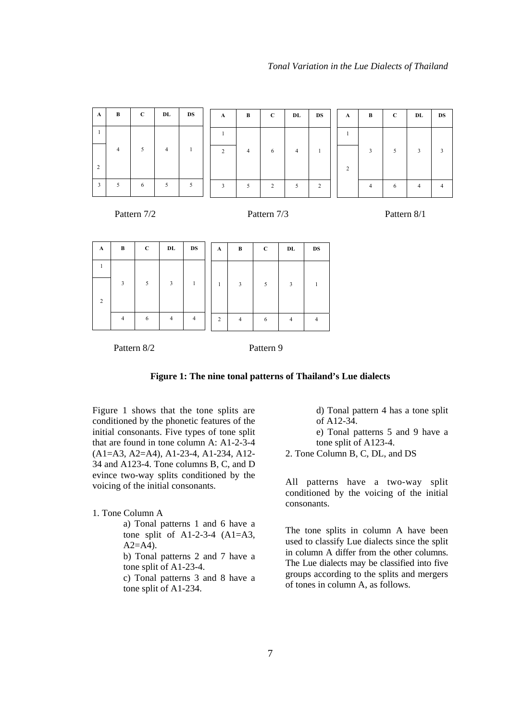| A | B              | $\mathbf C$ | DL             | DS | $\mathbf A$    | B              | $\mathbf C$ | DL             | DS | $\mathbf{A}$ | B              | $\mathbf C$ | DL             | DS             |
|---|----------------|-------------|----------------|----|----------------|----------------|-------------|----------------|----|--------------|----------------|-------------|----------------|----------------|
|   |                |             |                |    |                |                |             |                |    |              |                |             |                |                |
|   | $\overline{4}$ | 5           | $\overline{4}$ |    | $\overline{2}$ | $\overline{4}$ | 6           | $\overline{4}$ |    |              | 3              | 5           | 3              | 3              |
| 2 |                |             |                |    |                |                |             |                |    | 2            |                |             |                |                |
| 3 | 5              | 6           | 5              | 5  | 3              | 5              | 2           | 5              | 2  |              | $\overline{4}$ | 6           | $\overline{4}$ | $\overline{4}$ |

Pattern 7/2 Pattern 7/3 Pattern 8/1

| 3<br>3<br>5<br>3<br>5<br>3<br>1                                                                                    |  |
|--------------------------------------------------------------------------------------------------------------------|--|
| 2                                                                                                                  |  |
| $\overline{4}$<br>6<br>$\overline{4}$<br>$\overline{4}$<br>$\overline{2}$<br>$\overline{4}$<br>6<br>$\overline{4}$ |  |

Pattern 8/2 Pattern 9

**Figure 1: The nine tonal patterns of Thailand's Lue dialects** 

Figure 1 shows that the tone splits are conditioned by the phonetic features of the initial consonants. Five types of tone split that are found in tone column A: A1-2-3-4 (A1=A3, A2=A4), A1-23-4, A1-234, A12- 34 and A123-4. Tone columns B, C, and D evince two-way splits conditioned by the voicing of the initial consonants.

1. Tone Column A

 a) Tonal patterns 1 and 6 have a tone split of A1-2-3-4 (A1=A3,  $A2 = A4$ ).

 b) Tonal patterns 2 and 7 have a tone split of A1-23-4.

 c) Tonal patterns 3 and 8 have a tone split of A1-234.

 d) Tonal pattern 4 has a tone split of A12-34.

 e) Tonal patterns 5 and 9 have a tone split of A123-4.

2. Tone Column B, C, DL, and DS

All patterns have a two-way split conditioned by the voicing of the initial consonants.

The tone splits in column A have been used to classify Lue dialects since the split in column A differ from the other columns. The Lue dialects may be classified into five groups according to the splits and mergers of tones in column A, as follows.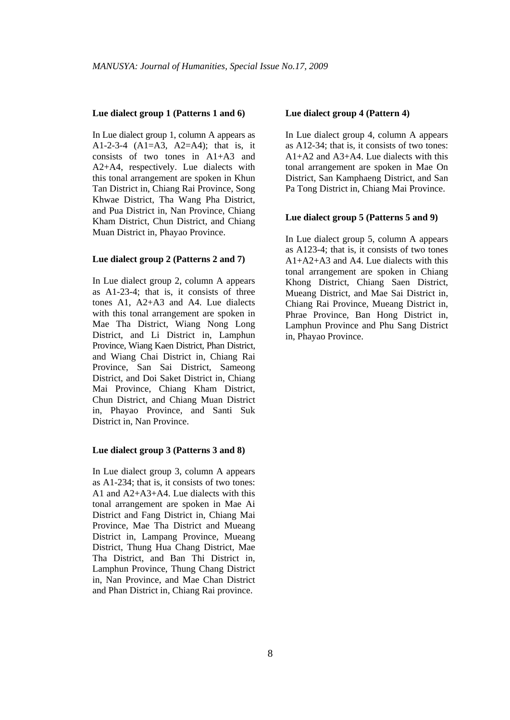#### **Lue dialect group 1 (Patterns 1 and 6)**

In Lue dialect group 1, column A appears as A1-2-3-4 (A1=A3, A2=A4); that is, it consists of two tones in A1+A3 and A2+A4, respectively. Lue dialects with this tonal arrangement are spoken in Khun Tan District in, Chiang Rai Province, Song Khwae District, Tha Wang Pha District, and Pua District in, Nan Province, Chiang Kham District, Chun District, and Chiang Muan District in, Phayao Province.

#### **Lue dialect group 2 (Patterns 2 and 7)**

In Lue dialect group 2, column A appears as A1-23-4; that is, it consists of three tones A1, A2+A3 and A4. Lue dialects with this tonal arrangement are spoken in Mae Tha District, Wiang Nong Long District, and Li District in, Lamphun Province, Wiang Kaen District, Phan District, and Wiang Chai District in, Chiang Rai Province, San Sai District, Sameong District, and Doi Saket District in, Chiang Mai Province, Chiang Kham District, Chun District, and Chiang Muan District in, Phayao Province, and Santi Suk District in, Nan Province.

#### **Lue dialect group 3 (Patterns 3 and 8)**

In Lue dialect group 3, column A appears as A1-234; that is, it consists of two tones: A1 and A2+A3+A4. Lue dialects with this tonal arrangement are spoken in Mae Ai District and Fang District in, Chiang Mai Province, Mae Tha District and Mueang District in, Lampang Province, Mueang District, Thung Hua Chang District, Mae Tha District, and Ban Thi District in, Lamphun Province, Thung Chang District in, Nan Province, and Mae Chan District and Phan District in, Chiang Rai province.

### **Lue dialect group 4 (Pattern 4)**

In Lue dialect group 4, column A appears as A12-34; that is, it consists of two tones:  $A1+A2$  and  $A3+A4$ . Lue dialects with this tonal arrangement are spoken in Mae On District, San Kamphaeng District, and San Pa Tong District in, Chiang Mai Province.

#### **Lue dialect group 5 (Patterns 5 and 9)**

In Lue dialect group 5, column A appears as A123-4; that is, it consists of two tones A1+A2+A3 and A4. Lue dialects with this tonal arrangement are spoken in Chiang Khong District, Chiang Saen District, Mueang District, and Mae Sai District in, Chiang Rai Province, Mueang District in, Phrae Province, Ban Hong District in, Lamphun Province and Phu Sang District in, Phayao Province.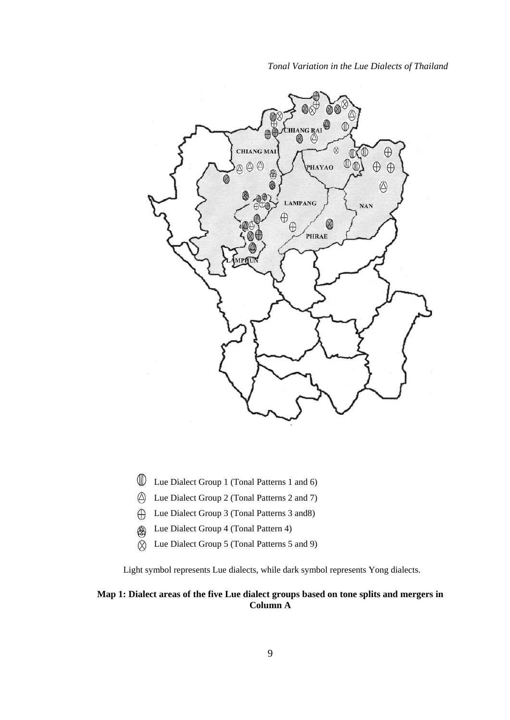

- $\mathbb{O}$ Lue Dialect Group 1 (Tonal Patterns 1 and 6)
- Lue Dialect Group 2 (Tonal Patterns 2 and 7)
- Lue Dialect Group 3 (Tonal Patterns 3 and8)
- Lue Dialect Group 4 (Tonal Pattern 4)
- $\oslash$  Lue Dialect Group 5 (Tonal Patterns 5 and 9)

Light symbol represents Lue dialects, while dark symbol represents Yong dialects.

# **Map 1: Dialect areas of the five Lue dialect groups based on tone splits and mergers in Column A**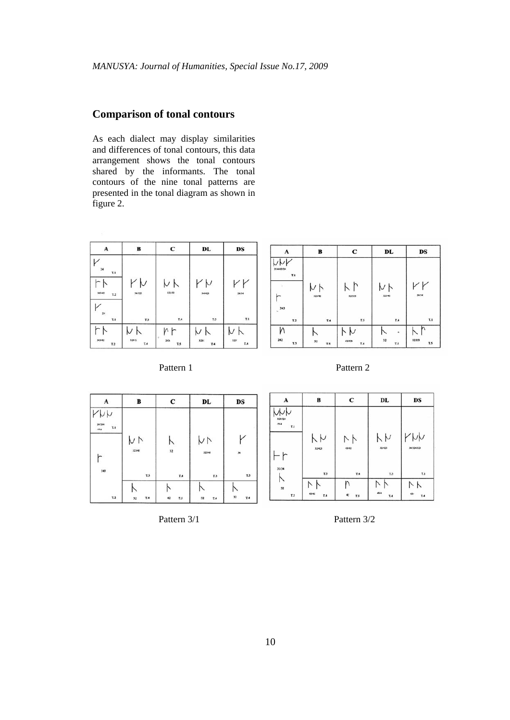# **Comparison of tonal contours**

As each dialect may display similarities and differences of tonal contours, this data arrangement shows the tonal contours shared by the informants. The tonal contours of the nine tonal patterns are presented in the tonal diagram as shown in figure 2.

| A                                                | B                 | С                     | DL               | DS               | $\mathbf{A}$                       | в           | $\mathbf C$             | DL             | <b>DS</b>     |
|--------------------------------------------------|-------------------|-----------------------|------------------|------------------|------------------------------------|-------------|-------------------------|----------------|---------------|
| 24<br>T.1<br>ᅩ<br>343/42<br>T.2<br>$\mathbf{24}$ | 34/323            | ◡<br>323/32           | 34/423           | 34/34            | VV<br>214/42/24<br>T.I<br>∽<br>343 | N<br>323/42 | h<br>32/333             | ∾<br>323/42    | 34/34         |
| T.1                                              | T.3               | T.4                   | T.3              | $\mathtt{T.1}$   | T <sub>2</sub>                     | T.4         | T.5                     | T.4            | T.1           |
| ∼<br>343/42<br>T <sub>2</sub>                    | M<br>323/3<br>T.4 | I٨<br>∽<br>243<br>T.S | ∿<br>323/<br>T.4 | ◡<br>323/<br>T.4 | n<br>242<br>T.3                    | 32<br>T.S   | ↖<br>∿<br>42/323<br>T.4 | ۰<br>32<br>T.S | 32/333<br>T.S |

| Pattern |  |
|---------|--|
|---------|--|

Pattern 2

 $\tau_{\rm d}$ 

 $\mathbf{e}_t = \mathbf{e}_t$ 

| A                                     | B              | С           | DL           | DS                   | A                            | В                 | С                                 | DL               | DS                                         |
|---------------------------------------|----------------|-------------|--------------|----------------------|------------------------------|-------------------|-----------------------------------|------------------|--------------------------------------------|
| <b>YVV</b><br>34'214<br>T.1<br>$\sim$ |                |             |              |                      | NNN<br>323/324<br>A14<br>T.1 |                   |                                   |                  |                                            |
| 니                                     | NΛ<br>323/43   | $_{\rm 32}$ | NΝ<br>323/43 | ı z<br>м             |                              | kΜ<br>32/423      | $\overline{\phantom{0}}$<br>43/42 | KΜ<br>32/423     | 'WV<br>34/334/323                          |
| 343                                   | T3             | T.4         | T3           | T.3                  | 33/34                        | T.J               | T.                                | T3               | $\mathbf{T}.\mathbf{1}$                    |
| T.2                                   | ◝<br>T.4<br>32 | 42<br>T.5   | 32<br>T.4    | $\frac{1}{n}$<br>T.4 | V<br>32<br>T.2               | ╲<br>43/42<br>T.4 | 45<br>T.5                         | ╲<br>43/4<br>T.4 | $\overline{K}$<br>Λ<br>$\mathbf{q}$<br>T.4 |

Pattern 3/1 Pattern 3/2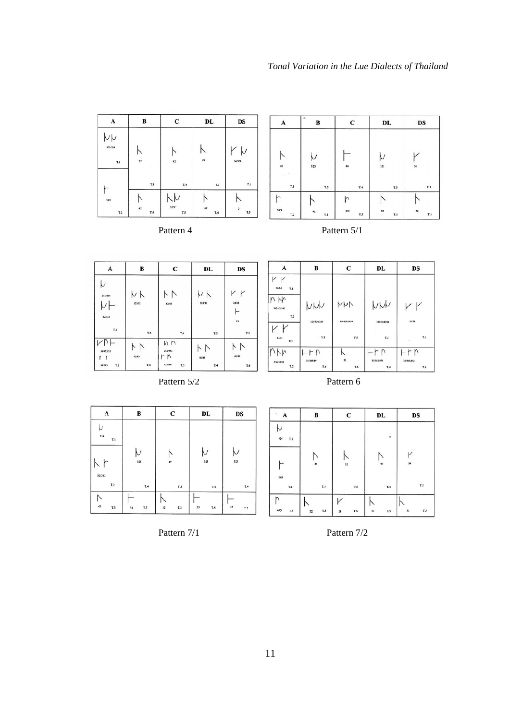| B<br>A<br>vŅ<br>323/334<br>$_{32}$<br>T.I |           | DL<br>C<br>32<br>42         |           | DS           |
|-------------------------------------------|-----------|-----------------------------|-----------|--------------|
|                                           |           |                             |           | 34323        |
|                                           | T.3       | T.4                         | T.3       | $\mathbf{L}$ |
| 343<br>T <sub>2</sub>                     | 42<br>T.4 | $\frac{1}{\sqrt{2}}$<br>T.S | 42<br>T.4 | ä<br>T.3     |

| А                       | B                                       | C              | DL                          | $\mathbf{DS}$            |
|-------------------------|-----------------------------------------|----------------|-----------------------------|--------------------------|
| 42<br>$\sim$ $^{-1}$    | 323                                     |                | 323                         | 34                       |
| $\mathbf{T}.\mathbf{I}$ | TJ                                      | T.4            | T.3                         | $\mathbf{T.3}$           |
| 343<br>$T-2$            | $\mathbf{a}$<br>$\mathbf{T}.\mathbf{I}$ | N<br>30<br>T.S | $\bullet$<br>T <sub>1</sub> | $42\,$<br>$\mathbf{T.1}$ |

Pattern 4 Pattern 5/1

| А                                     | $\mathbf C$<br>B |                                              | DL                               | DS                                                  |  |
|---------------------------------------|------------------|----------------------------------------------|----------------------------------|-----------------------------------------------------|--|
| 284/334<br>323/33<br>v                | ハト<br>323/32     | Ν<br>4243                                    | ΜK<br>323/32                     | Y<br>3634<br>$\mathbf{u}$                           |  |
| $T_{\rm d}$                           | T.3              | T.4                                          | T.3                              | $\mathcal{L}_{\rm{max}}$<br>$\mathbf{T}.\mathbf{1}$ |  |
| 34/453/33<br>T <sub>2</sub><br>34/343 | トト<br>4243<br>TA | n n<br>342/342<br>- n<br><b>MAINS</b><br>T.S | $\triangleright$<br>42/43<br>T.4 | $^{420}$<br>TA                                      |  |

| A                       | в                  | C           | DL                                  | DS                                     |
|-------------------------|--------------------|-------------|-------------------------------------|----------------------------------------|
| ΥY<br>3434<br>T.1       |                    |             |                                     |                                        |
| $\Lambda$<br>34343/343  | MMM                | MM          | WW                                  | YY                                     |
| T.2                     | 325/336/254        | 45442513454 | 323/324/214                         | 34/34                                  |
| 34/34<br>T.1            | T3                 | T.5         | T.3                                 | TJ.<br>$\lambda$                       |
| $\sqrt{ }$<br>342/42/24 | $-r$<br>33/343/4** | 32          | $H \uparrow \uparrow$<br>33/345/454 | $H \uparrow \mathcal{N}$<br>33/343/454 |
| T.2                     | T.4                | T.6         | T.4                                 | T.4                                    |

Pattern 5/2 Pattern 6

| A                         | B         | C                | DL        | DS         | $\mathbf A$<br>5. |              | B         | C         | DL                       | DS                      |
|---------------------------|-----------|------------------|-----------|------------|-------------------|--------------|-----------|-----------|--------------------------|-------------------------|
| N<br>214<br>T.1           |           |                  |           |            | N<br>324          | $\mathbf{r}$ |           |           | $\overline{\phantom{a}}$ |                         |
| h<br>╲<br>32/343          | Ν<br>323  | 42               | Ν<br>323  | M<br>323   | ∽<br>343          |              | 43<br>983 | 32        | $\mathbf{d}$             | M                       |
| T.2                       | T.4       | T.6              | T.4       | <b>T.4</b> |                   | $T-2$        | T.4       | T.5       | T.4                      | $\mathbf{T}.\mathbf{I}$ |
| Ν<br>43<br>T <sub>3</sub> | T.5<br>33 | ヽ<br>$T-2$<br>32 | 33<br>T.5 | 33<br>T.5  | 453               | T.3          | 32<br>T.5 | 34<br>T.6 | 32<br>T.5                | 32<br>T.5               |

Pattern 7/1 Pattern 7/2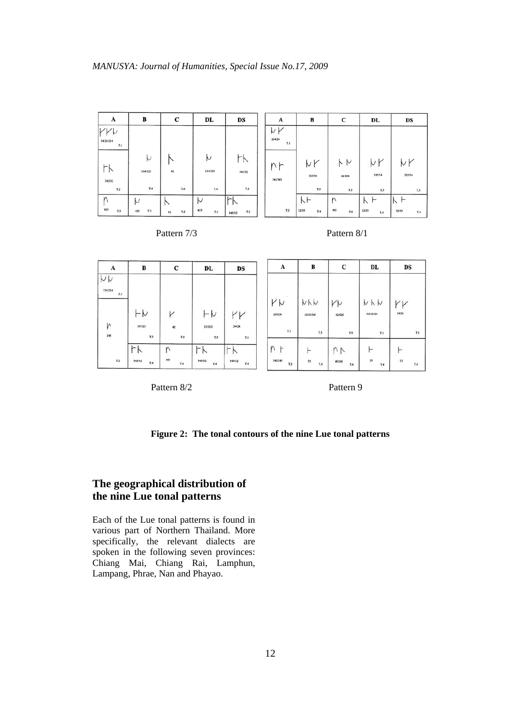| A<br>$\gamma$    | C<br>B     |           | DL         | DS            |
|------------------|------------|-----------|------------|---------------|
| 34/24/214<br>T.I |            |           |            |               |
|                  | N          |           |            |               |
|                  | 214/323    | 42        | 214/323    | 343/32        |
| 343/32           |            |           |            |               |
| T <sub>.2</sub>  | T.4        | T.6       | TA         | T.I           |
| <b>In</b>        |            |           |            |               |
| 453<br>T.3       | 423<br>T.5 | T.2<br>32 | 423<br>T.5 | T.2<br>343/32 |

| A             | в            | С          | DL           | DS           |
|---------------|--------------|------------|--------------|--------------|
| νV            |              |            |              |              |
| 214/24<br>T.1 |              |            |              |              |
|               |              |            |              |              |
| ΝĻ            | ΜK           | KΜ         | μY           | ΜK           |
| 342/343       | 323/34       | 42/434     | 323/34       | 323/34       |
|               | T.3          | T.5        | T.3          | T3           |
|               |              |            |              |              |
| T.2           | 32/33<br>T.4 | 452<br>T.6 | 32/33<br>T.4 | 32/33<br>T.4 |



| A<br>VV                   | B                                  | С              | DL                  | DS                     | A                  | B                              | $\mathbf C$         | DL                                 | DS           |
|---------------------------|------------------------------------|----------------|---------------------|------------------------|--------------------|--------------------------------|---------------------|------------------------------------|--------------|
| 324/214<br>L1<br>W<br>243 | N<br>–<br>33/323<br>$\mathbf{T.3}$ | V<br>42<br>T.5 | HΜ<br>33/323<br>T.3 | $\vee$<br>34/24<br>T.I | N<br>24/324<br>T.1 | <b>NYN</b><br>323/32/324<br>T3 | Vν<br>42/424<br>T.S | NYN<br>323/32/324<br>$\mathbf{T}3$ | 34/24<br>T.1 |
| T.2                       | r<br>V<br>T.4<br>343/32            | 452<br>T.6     | ᅛ<br>343/32<br>T.4  | 343/32<br>T.4          | 342/343<br>T.2     | ۳<br>33<br>T.4                 | 452/43<br>T.6       | 33<br>T.4                          | 33<br>T.4    |

Pattern 8/2 Pattern 9

## **Figure 2: The tonal contours of the nine Lue tonal patterns**

# **The geographical distribution of the nine Lue tonal patterns**

Each of the Lue tonal patterns is found in various part of Northern Thailand. More specifically, the relevant dialects are spoken in the following seven provinces: Chiang Mai, Chiang Rai, Lamphun, Lampang, Phrae, Nan and Phayao.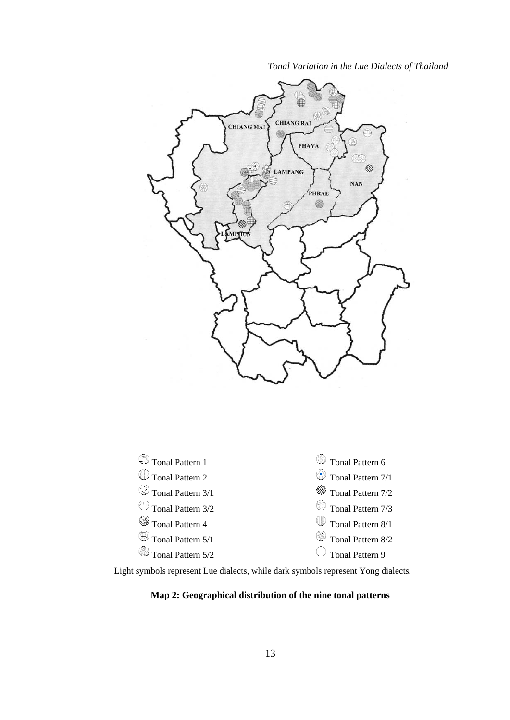*Tonal Variation in the Lue Dialects of Thailand* 





Light symbols represent Lue dialects, while dark symbols represent Yong dialects.

**Map 2: Geographical distribution of the nine tonal patterns**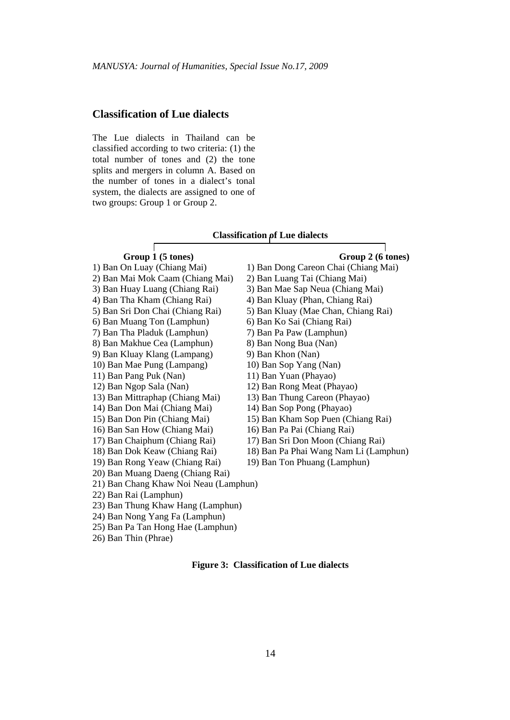# **Classification of Lue dialects**

The Lue dialects in Thailand can be classified according to two criteria: (1) the total number of tones and (2) the tone splits and mergers in column A. Based on the number of tones in a dialect's tonal system, the dialects are assigned to one of two groups: Group 1 or Group 2.

### **Classification of Lue dialects**

- Group 1 (5 tones) **Group 2 (6 tones)** 1) Ban On Luay (Chiang Mai) 1) Ban Dong Careon Chai (Chiang Mai) 2) Ban Mai Mok Caam (Chiang Mai) 2) Ban Luang Tai (Chiang Mai) 3) Ban Huay Luang (Chiang Rai) 3) Ban Mae Sap Neua (Chiang Mai) 4) Ban Tha Kham (Chiang Rai) 4) Ban Kluay (Phan, Chiang Rai) 5) Ban Sri Don Chai (Chiang Rai) 5) Ban Kluay (Mae Chan, Chiang Rai) 6) Ban Muang Ton (Lamphun) 6) Ban Ko Sai (Chiang Rai) 7) Ban Tha Pladuk (Lamphun) 7) Ban Pa Paw (Lamphun) 8) Ban Makhue Cea (Lamphun) 8) Ban Nong Bua (Nan) 9) Ban Kluay Klang (Lampang) 9) Ban Khon (Nan) 10) Ban Mae Pung (Lampang) 10) Ban Sop Yang (Nan) 11) Ban Pang Puk (Nan) 11) Ban Yuan (Phayao) 12) Ban Ngop Sala (Nan) 12) Ban Rong Meat (Phayao) 13) Ban Mittraphap (Chiang Mai) 13) Ban Thung Careon (Phayao) 14) Ban Don Mai (Chiang Mai) 14) Ban Sop Pong (Phayao) 15) Ban Don Pin (Chiang Mai) 15) Ban Kham Sop Puen (Chiang Rai) 16) Ban San How (Chiang Mai) 16) Ban Pa Pai (Chiang Rai) 17) Ban Chaiphum (Chiang Rai) 17) Ban Sri Don Moon (Chiang Rai) 18) Ban Dok Keaw (Chiang Rai) 18) Ban Pa Phai Wang Nam Li (Lamphun) 19) Ban Rong Yeaw (Chiang Rai) 19) Ban Ton Phuang (Lamphun) 20) Ban Muang Daeng (Chiang Rai) 21) Ban Chang Khaw Noi Neau (Lamphun) 22) Ban Rai (Lamphun) 23) Ban Thung Khaw Hang (Lamphun) 24) Ban Nong Yang Fa (Lamphun)
	- 25) Ban Pa Tan Hong Hae (Lamphun)
	- 26) Ban Thin (Phrae)

### **Figure 3: Classification of Lue dialects**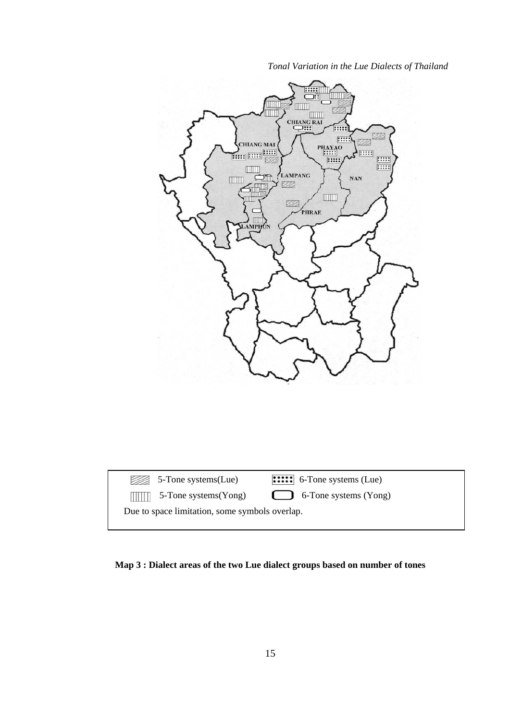

*Tonal Variation in the Lue Dialects of Thailand* 

| $\approx$ 5-Tone systems(Lue)                  | $\mathbf{1} \cdot \mathbf{1} \cdot \mathbf{1}$ 6-Tone systems (Lue) |
|------------------------------------------------|---------------------------------------------------------------------|
| $\text{min}$ 5-Tone systems (Yong)             | $\Box$ 6-Tone systems (Yong)                                        |
| Due to space limitation, some symbols overlap. |                                                                     |

# **Map 3 : Dialect areas of the two Lue dialect groups based on number of tones**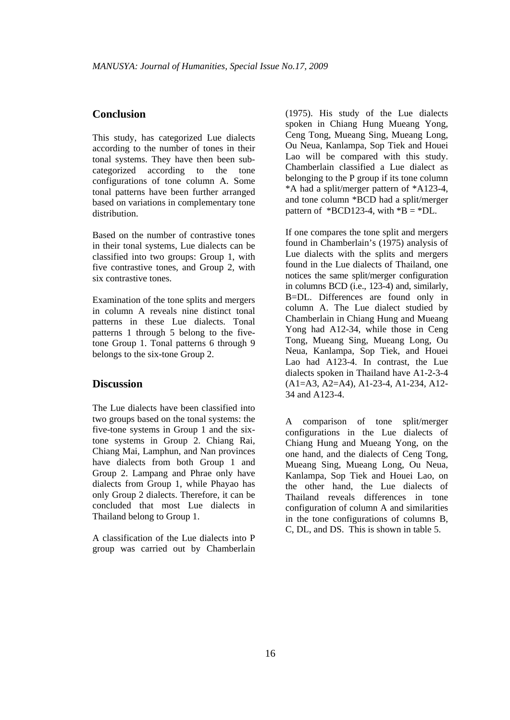## **Conclusion**

This study, has categorized Lue dialects according to the number of tones in their tonal systems. They have then been subcategorized according to the tone configurations of tone column A. Some tonal patterns have been further arranged based on variations in complementary tone distribution.

Based on the number of contrastive tones in their tonal systems, Lue dialects can be classified into two groups: Group 1, with five contrastive tones, and Group 2, with six contrastive tones.

Examination of the tone splits and mergers in column A reveals nine distinct tonal patterns in these Lue dialects. Tonal patterns 1 through 5 belong to the fivetone Group 1. Tonal patterns 6 through 9 belongs to the six-tone Group 2.

# **Discussion**

The Lue dialects have been classified into two groups based on the tonal systems: the five-tone systems in Group 1 and the sixtone systems in Group 2. Chiang Rai, Chiang Mai, Lamphun, and Nan provinces have dialects from both Group 1 and Group 2. Lampang and Phrae only have dialects from Group 1, while Phayao has only Group 2 dialects. Therefore, it can be concluded that most Lue dialects in Thailand belong to Group 1.

A classification of the Lue dialects into P group was carried out by Chamberlain (1975). His study of the Lue dialects spoken in Chiang Hung Mueang Yong, Ceng Tong, Mueang Sing, Mueang Long, Ou Neua, Kanlampa, Sop Tiek and Houei Lao will be compared with this study. Chamberlain classified a Lue dialect as belonging to the P group if its tone column \*A had a split/merger pattern of \*A123-4, and tone column \*BCD had a split/merger pattern of \*BCD123-4, with  $*B = *DL$ .

If one compares the tone split and mergers found in Chamberlain's (1975) analysis of Lue dialects with the splits and mergers found in the Lue dialects of Thailand, one notices the same split/merger configuration in columns BCD (i.e., 123-4) and, similarly, B=DL. Differences are found only in column A. The Lue dialect studied by Chamberlain in Chiang Hung and Mueang Yong had A12-34, while those in Ceng Tong, Mueang Sing, Mueang Long, Ou Neua, Kanlampa, Sop Tiek, and Houei Lao had A123-4. In contrast, the Lue dialects spoken in Thailand have A1-2-3-4 (A1=A3, A2=A4), A1-23-4, A1-234, A12- 34 and A123-4.

A comparison of tone split/merger configurations in the Lue dialects of Chiang Hung and Mueang Yong, on the one hand, and the dialects of Ceng Tong, Mueang Sing, Mueang Long, Ou Neua, Kanlampa, Sop Tiek and Houei Lao, on the other hand, the Lue dialects of Thailand reveals differences in tone configuration of column A and similarities in the tone configurations of columns B, C, DL, and DS. This is shown in table 5.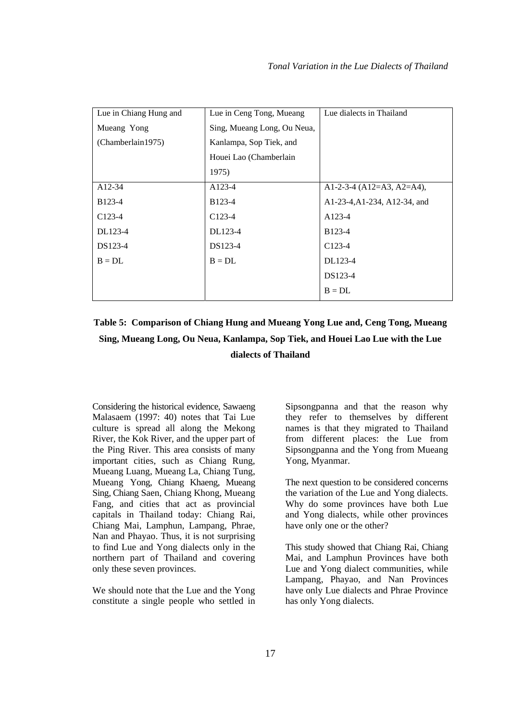| Lue in Chiang Hung and | Lue in Ceng Tong, Mueang    | Lue dialects in Thailand     |
|------------------------|-----------------------------|------------------------------|
| Mueang Yong            | Sing, Mueang Long, Ou Neua, |                              |
| (Chamberlain1975)      | Kanlampa, Sop Tiek, and     |                              |
|                        | Houei Lao (Chamberlain      |                              |
|                        | 1975)                       |                              |
| $A12-34$               | A <sub>123</sub> -4         | A1-2-3-4 (A12=A3, A2=A4),    |
| <b>B123-4</b>          | <b>B</b> 123-4              | A1-23-4, A1-234, A12-34, and |
| $C123-4$               | $C123-4$                    | A <sub>123</sub> -4          |
| DL123-4                | DL123-4                     | <b>B123-4</b>                |
| DS123-4                | DS123-4                     | $C123-4$                     |
| $B = DL$               | $B = DL$                    | DL123-4                      |
|                        |                             | DS123-4                      |
|                        |                             | $B = DL$                     |

# **Table 5: Comparison of Chiang Hung and Mueang Yong Lue and, Ceng Tong, Mueang Sing, Mueang Long, Ou Neua, Kanlampa, Sop Tiek, and Houei Lao Lue with the Lue dialects of Thailand**

Considering the historical evidence, Sawaeng Malasaem (1997: 40) notes that Tai Lue culture is spread all along the Mekong River, the Kok River, and the upper part of the Ping River. This area consists of many important cities, such as Chiang Rung, Mueang Luang, Mueang La, Chiang Tung, Mueang Yong, Chiang Khaeng, Mueang Sing, Chiang Saen, Chiang Khong, Mueang Fang, and cities that act as provincial capitals in Thailand today: Chiang Rai, Chiang Mai, Lamphun, Lampang, Phrae, Nan and Phayao. Thus, it is not surprising to find Lue and Yong dialects only in the northern part of Thailand and covering only these seven provinces.

We should note that the Lue and the Yong constitute a single people who settled in Sipsongpanna and that the reason why they refer to themselves by different names is that they migrated to Thailand from different places: the Lue from Sipsongpanna and the Yong from Mueang Yong, Myanmar.

The next question to be considered concerns the variation of the Lue and Yong dialects. Why do some provinces have both Lue and Yong dialects, while other provinces have only one or the other?

This study showed that Chiang Rai, Chiang Mai, and Lamphun Provinces have both Lue and Yong dialect communities, while Lampang, Phayao, and Nan Provinces have only Lue dialects and Phrae Province has only Yong dialects.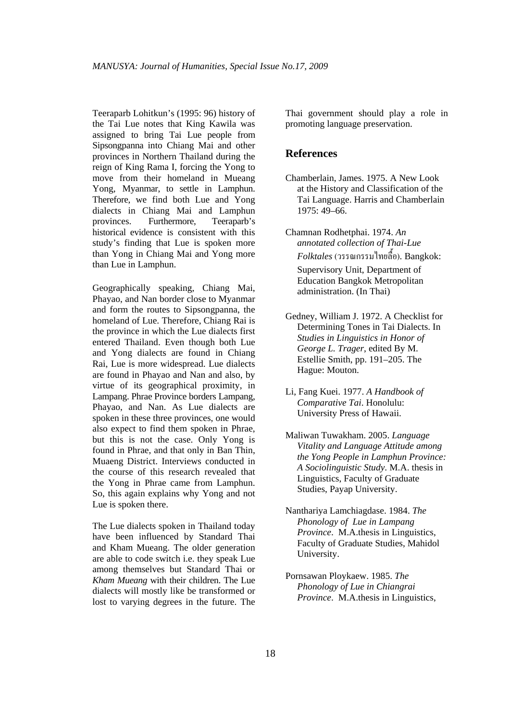Teeraparb Lohitkun's (1995: 96) history of the Tai Lue notes that King Kawila was assigned to bring Tai Lue people from Sipsongpanna into Chiang Mai and other provinces in Northern Thailand during the reign of King Rama I, forcing the Yong to move from their homeland in Mueang Yong, Myanmar, to settle in Lamphun. Therefore, we find both Lue and Yong dialects in Chiang Mai and Lamphun provinces. Furthermore, Teeraparb's historical evidence is consistent with this study's finding that Lue is spoken more than Yong in Chiang Mai and Yong more than Lue in Lamphun.

Geographically speaking, Chiang Mai, Phayao, and Nan border close to Myanmar and form the routes to Sipsongpanna, the homeland of Lue. Therefore, Chiang Rai is the province in which the Lue dialects first entered Thailand. Even though both Lue and Yong dialects are found in Chiang Rai, Lue is more widespread. Lue dialects are found in Phayao and Nan and also, by virtue of its geographical proximity, in Lampang. Phrae Province borders Lampang, Phayao, and Nan. As Lue dialects are spoken in these three provinces, one would also expect to find them spoken in Phrae, but this is not the case. Only Yong is found in Phrae, and that only in Ban Thin, Muaeng District. Interviews conducted in the course of this research revealed that the Yong in Phrae came from Lamphun. So, this again explains why Yong and not Lue is spoken there.

The Lue dialects spoken in Thailand today have been influenced by Standard Thai and Kham Mueang. The older generation are able to code switch i.e. they speak Lue among themselves but Standard Thai or *Kham Mueang* with their children. The Lue dialects will mostly like be transformed or lost to varying degrees in the future. The

Thai government should play a role in promoting language preservation.

## **References**

- Chamberlain, James. 1975. A New Look at the History and Classification of the Tai Language. Harris and Chamberlain 1975: 49–66.
- Chamnan Rodhetphai. 1974. *An annotated collection of Thai-Lue Folktales* (วรรณกรรมไทยลื้อ). Bangkok: Supervisory Unit, Department of Education Bangkok Metropolitan administration. (In Thai)
- Gedney, William J. 1972. A Checklist for Determining Tones in Tai Dialects. In *Studies in Linguistics in Honor of George L. Trager*, edited By M. Estellie Smith, pp. 191–205. The Hague: Mouton.
- Li, Fang Kuei. 1977. *A Handbook of Comparative Tai*. Honolulu: University Press of Hawaii.
- Maliwan Tuwakham. 2005. *Language Vitality and Language Attitude among the Yong People in Lamphun Province: A Sociolinguistic Study*. M.A. thesis in Linguistics, Faculty of Graduate Studies, Payap University.
- Nanthariya Lamchiagdase. 1984. *The Phonology of Lue in Lampang Province*. M.A.thesis in Linguistics, Faculty of Graduate Studies, Mahidol University.
- Pornsawan Ploykaew. 1985. *The Phonology of Lue in Chiangrai Province*. M.A.thesis in Linguistics,